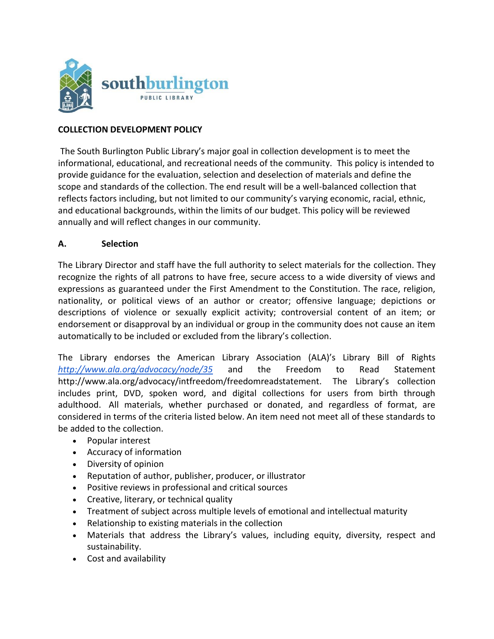

## **COLLECTION DEVELOPMENT POLICY**

The South Burlington Public Library's major goal in collection development is to meet the informational, educational, and recreational needs of the community. This policy is intended to provide guidance for the evaluation, selection and deselection of materials and define the scope and standards of the collection. The end result will be a well-balanced collection that reflects factors including, but not limited to our community's varying economic, racial, ethnic, and educational backgrounds, within the limits of our budget. This policy will be reviewed annually and will reflect changes in our community.

### **A. Selection**

The Library Director and staff have the full authority to select materials for the collection. They recognize the rights of all patrons to have free, secure access to a wide diversity of views and expressions as guaranteed under the First Amendment to the Constitution. The race, religion, nationality, or political views of an author or creator; offensive language; depictions or descriptions of violence or sexually explicit activity; controversial content of an item; or endorsement or disapproval by an individual or group in the community does not cause an item automatically to be included or excluded from the library's collection.

The Library endorses the American Library Association (ALA)'s Library Bill of Right[s](http://www.ala.org/advocacy/node/35) *<http://www.ala.org/advocacy/node/35>* and the Freedom to Read Statement http://www.ala.org/advocacy/intfreedom/freedomreadstatement. The Library's collection includes print, DVD, spoken word, and digital collections for users from birth through adulthood. All materials, whether purchased or donated, and regardless of format, are considered in terms of the criteria listed below. An item need not meet all of these standards to be added to the collection.

- Popular interest
- Accuracy of information
- Diversity of opinion
- Reputation of author, publisher, producer, or illustrator
- Positive reviews in professional and critical sources
- Creative, literary, or technical quality
- Treatment of subject across multiple levels of emotional and intellectual maturity
- Relationship to existing materials in the collection
- Materials that address the Library's values, including equity, diversity, respect and sustainability.
- Cost and availability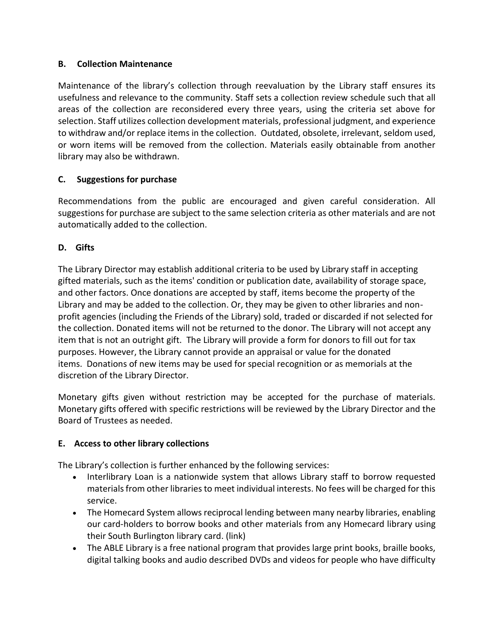## **B. Collection Maintenance**

Maintenance of the library's collection through reevaluation by the Library staff ensures its usefulness and relevance to the community. Staff sets a collection review schedule such that all areas of the collection are reconsidered every three years, using the criteria set above for selection. Staff utilizes collection development materials, professional judgment, and experience to withdraw and/or replace items in the collection. Outdated, obsolete, irrelevant, seldom used, or worn items will be removed from the collection. Materials easily obtainable from another library may also be withdrawn.

# **C. Suggestions for purchase**

Recommendations from the public are encouraged and given careful consideration. All suggestions for purchase are subject to the same selection criteria as other materials and are not automatically added to the collection.

## **D. Gifts**

The Library Director may establish additional criteria to be used by Library staff in accepting gifted materials, such as the items' condition or publication date, availability of storage space, and other factors. Once donations are accepted by staff, items become the property of the Library and may be added to the collection. Or, they may be given to other libraries and nonprofit agencies (including the Friends of the Library) sold, traded or discarded if not selected for the collection. Donated items will not be returned to the donor. The Library will not accept any item that is not an outright gift. The Library will provide a form for donors to fill out for tax purposes. However, the Library cannot provide an appraisal or value for the donated items. Donations of new items may be used for special recognition or as memorials at the discretion of the Library Director.

Monetary gifts given without restriction may be accepted for the purchase of materials. Monetary gifts offered with specific restrictions will be reviewed by the Library Director and the Board of Trustees as needed.

## **E. Access to other library collections**

The Library's collection is further enhanced by the following services:

- Interlibrary Loan is a nationwide system that allows Library staff to borrow requested materials from other libraries to meet individual interests. No fees will be charged for this service.
- The Homecard System allows reciprocal lending between many nearby libraries, enabling our card-holders to borrow books and other materials from any Homecard library using their South Burlington library card. (link)
- The ABLE Library is a free national program that provides large print books, braille books, digital talking books and audio described DVDs and videos for people who have difficulty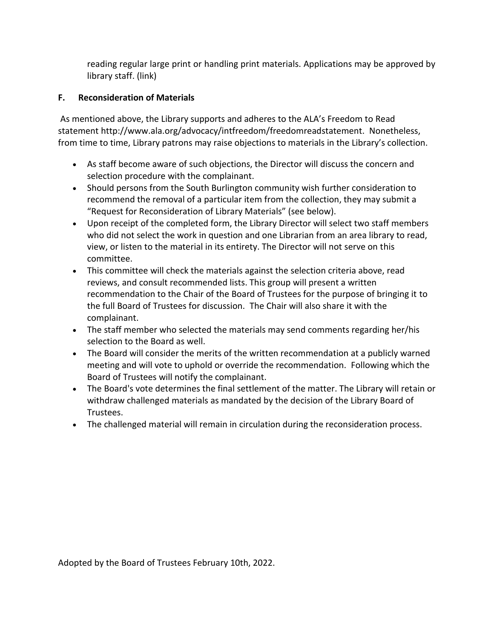reading regular large print or handling print materials. Applications may be approved by library staff. (link)

## **F. Reconsideration of Materials**

As mentioned above, the Library supports and adheres to the ALA's Freedom to Read statement http://www.ala.org/advocacy/intfreedom/freedomreadstatement. Nonetheless, from time to time, Library patrons may raise objections to materials in the Library's collection.

- As staff become aware of such objections, the Director will discuss the concern and selection procedure with the complainant.
- Should persons from the South Burlington community wish further consideration to recommend the removal of a particular item from the collection, they may submit a "Request for Reconsideration of Library Materials" (see below).
- Upon receipt of the completed form, the Library Director will select two staff members who did not select the work in question and one Librarian from an area library to read, view, or listen to the material in its entirety. The Director will not serve on this committee.
- This committee will check the materials against the selection criteria above, read reviews, and consult recommended lists. This group will present a written recommendation to the Chair of the Board of Trustees for the purpose of bringing it to the full Board of Trustees for discussion. The Chair will also share it with the complainant.
- The staff member who selected the materials may send comments regarding her/his selection to the Board as well.
- The Board will consider the merits of the written recommendation at a publicly warned meeting and will vote to uphold or override the recommendation. Following which the Board of Trustees will notify the complainant.
- The Board's vote determines the final settlement of the matter. The Library will retain or withdraw challenged materials as mandated by the decision of the Library Board of Trustees.
- The challenged material will remain in circulation during the reconsideration process.

Adopted by the Board of Trustees February 10th, 2022.